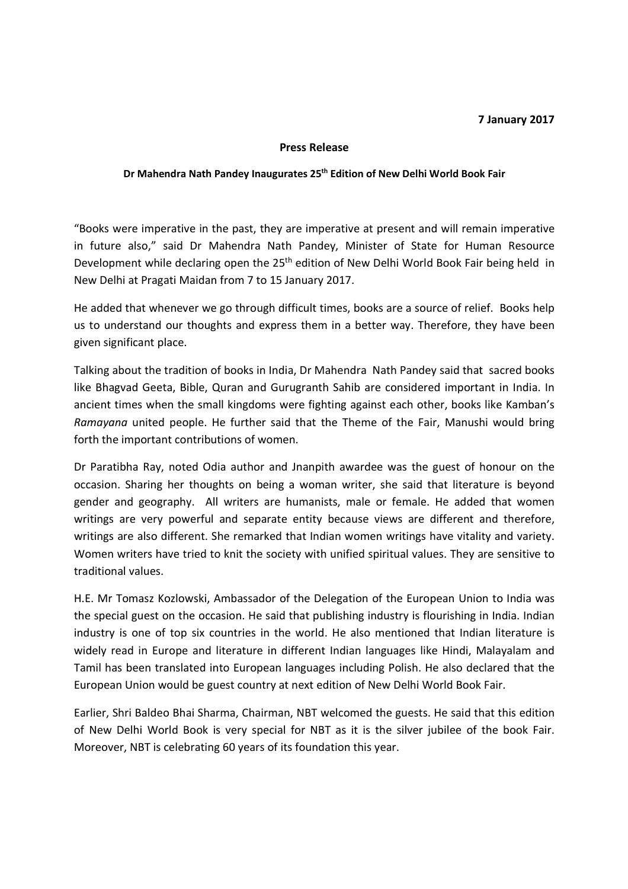## **7 January 2017**

## **Press Release**

## **Dr Mahendra Nath Pandey Inaugurates 25th Edition of New Delhi World Book Fair**

"Books were imperative in the past, they are imperative at present and will remain imperative in future also," said Dr Mahendra Nath Pandey, Minister of State for Human Resource Development while declaring open the 25<sup>th</sup> edition of New Delhi World Book Fair being held in New Delhi at Pragati Maidan from 7 to 15 January 2017.

He added that whenever we go through difficult times, books are a source of relief. Books help us to understand our thoughts and express them in a better way. Therefore, they have been given significant place.

Talking about the tradition of books in India, Dr Mahendra Nath Pandey said that sacred books like Bhagvad Geeta, Bible, Quran and Gurugranth Sahib are considered important in India. In ancient times when the small kingdoms were fighting against each other, books like Kamban's *Ramayana* united people. He further said that the Theme of the Fair, Manushi would bring forth the important contributions of women.

Dr Paratibha Ray, noted Odia author and Jnanpith awardee was the guest of honour on the occasion. Sharing her thoughts on being a woman writer, she said that literature is beyond gender and geography. All writers are humanists, male or female. He added that women writings are very powerful and separate entity because views are different and therefore, writings are also different. She remarked that Indian women writings have vitality and variety. Women writers have tried to knit the society with unified spiritual values. They are sensitive to traditional values.

H.E. Mr Tomasz Kozlowski, Ambassador of the Delegation of the European Union to India was the special guest on the occasion. He said that publishing industry is flourishing in India. Indian industry is one of top six countries in the world. He also mentioned that Indian literature is widely read in Europe and literature in different Indian languages like Hindi, Malayalam and Tamil has been translated into European languages including Polish. He also declared that the European Union would be guest country at next edition of New Delhi World Book Fair.

Earlier, Shri Baldeo Bhai Sharma, Chairman, NBT welcomed the guests. He said that this edition of New Delhi World Book is very special for NBT as it is the silver jubilee of the book Fair. Moreover, NBT is celebrating 60 years of its foundation this year.